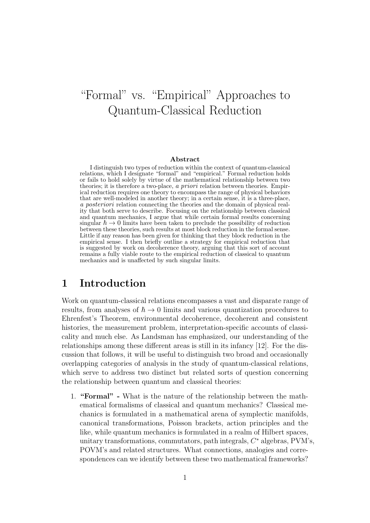# "Formal" vs. "Empirical" Approaches to Quantum-Classical Reduction

#### Abstract

I distinguish two types of reduction within the context of quantum-classical relations, which I designate "formal" and "empirical." Formal reduction holds or fails to hold solely by virtue of the mathematical relationship between two theories; it is therefore a two-place, a priori relation between theories. Empirical reduction requires one theory to encompass the range of physical behaviors that are well-modeled in another theory; in a certain sense, it is a three-place, a posteriori relation connecting the theories and the domain of physical reality that both serve to describe. Focusing on the relationship between classical and quantum mechanics, I argue that while certain formal results concerning singular  $\hbar \rightarrow 0$  limits have been taken to preclude the possibility of reduction between these theories, such results at most block reduction in the formal sense. Little if any reason has been given for thinking that they block reduction in the empirical sense. I then briefly outline a strategy for empirical reduction that is suggested by work on decoherence theory, arguing that this sort of account remains a fully viable route to the empirical reduction of classical to quantum mechanics and is unaffected by such singular limits.

## 1 Introduction

Work on quantum-classical relations encompasses a vast and disparate range of results, from analyses of  $\hbar \rightarrow 0$  limits and various quantization procedures to Ehrenfest's Theorem, environmental decoherence, decoherent and consistent histories, the measurement problem, interpretation-specific accounts of classicality and much else. As Landsman has emphasized, our understanding of the relationships among these different areas is still in its infancy [12]. For the discussion that follows, it will be useful to distinguish two broad and occasionally overlapping categories of analysis in the study of quantum-classical relations, which serve to address two distinct but related sorts of question concerning the relationship between quantum and classical theories:

1. "Formal" - What is the nature of the relationship between the mathematical formalisms of classical and quantum mechanics? Classical mechanics is formulated in a mathematical arena of symplectic manifolds, canonical transformations, Poisson brackets, action principles and the like, while quantum mechanics is formulated in a realm of Hilbert spaces, unitary transformations, commutators, path integrals,  $C^*$  algebras, PVM's, POVM's and related structures. What connections, analogies and correspondences can we identify between these two mathematical frameworks?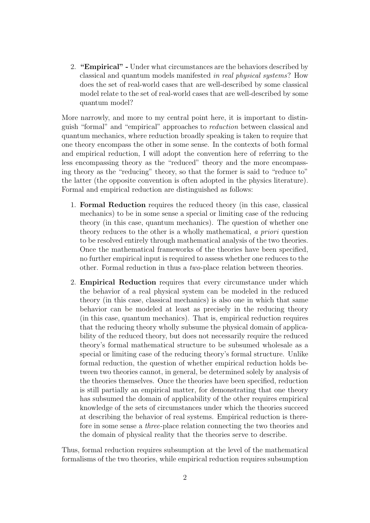2. "Empirical" - Under what circumstances are the behaviors described by classical and quantum models manifested in real physical systems? How does the set of real-world cases that are well-described by some classical model relate to the set of real-world cases that are well-described by some quantum model?

More narrowly, and more to my central point here, it is important to distinguish "formal" and "empirical" approaches to reduction between classical and quantum mechanics, where reduction broadly speaking is taken to require that one theory encompass the other in some sense. In the contexts of both formal and empirical reduction, I will adopt the convention here of referring to the less encompassing theory as the "reduced" theory and the more encompassing theory as the "reducing" theory, so that the former is said to "reduce to" the latter (the opposite convention is often adopted in the physics literature). Formal and empirical reduction are distinguished as follows:

- 1. Formal Reduction requires the reduced theory (in this case, classical mechanics) to be in some sense a special or limiting case of the reducing theory (in this case, quantum mechanics). The question of whether one theory reduces to the other is a wholly mathematical, a priori question to be resolved entirely through mathematical analysis of the two theories. Once the mathematical frameworks of the theories have been specified, no further empirical input is required to assess whether one reduces to the other. Formal reduction in thus a two-place relation between theories.
- 2. Empirical Reduction requires that every circumstance under which the behavior of a real physical system can be modeled in the reduced theory (in this case, classical mechanics) is also one in which that same behavior can be modeled at least as precisely in the reducing theory (in this case, quantum mechanics). That is, empirical reduction requires that the reducing theory wholly subsume the physical domain of applicability of the reduced theory, but does not necessarily require the reduced theory's formal mathematical structure to be subsumed wholesale as a special or limiting case of the reducing theory's formal structure. Unlike formal reduction, the question of whether empirical reduction holds between two theories cannot, in general, be determined solely by analysis of the theories themselves. Once the theories have been specified, reduction is still partially an empirical matter, for demonstrating that one theory has subsumed the domain of applicability of the other requires empirical knowledge of the sets of circumstances under which the theories succeed at describing the behavior of real systems. Empirical reduction is therefore in some sense a three-place relation connecting the two theories and the domain of physical reality that the theories serve to describe.

Thus, formal reduction requires subsumption at the level of the mathematical formalisms of the two theories, while empirical reduction requires subsumption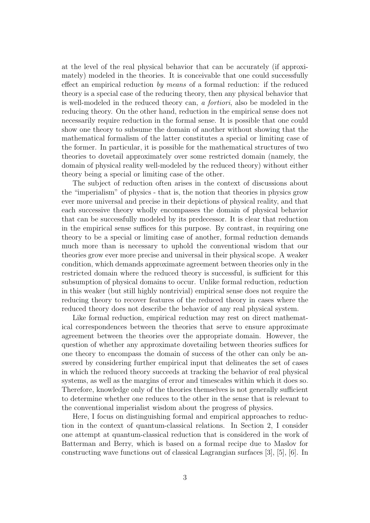at the level of the real physical behavior that can be accurately (if approximately) modeled in the theories. It is conceivable that one could successfully effect an empirical reduction by means of a formal reduction: if the reduced theory is a special case of the reducing theory, then any physical behavior that is well-modeled in the reduced theory can, a fortiori, also be modeled in the reducing theory. On the other hand, reduction in the empirical sense does not necessarily require reduction in the formal sense. It is possible that one could show one theory to subsume the domain of another without showing that the mathematical formalism of the latter constitutes a special or limiting case of the former. In particular, it is possible for the mathematical structures of two theories to dovetail approximately over some restricted domain (namely, the domain of physical reality well-modeled by the reduced theory) without either theory being a special or limiting case of the other.

The subject of reduction often arises in the context of discussions about the "imperialism" of physics - that is, the notion that theories in physics grow ever more universal and precise in their depictions of physical reality, and that each successive theory wholly encompasses the domain of physical behavior that can be successfully modeled by its predecessor. It is clear that reduction in the empirical sense suffices for this purpose. By contrast, in requiring one theory to be a special or limiting case of another, formal reduction demands much more than is necessary to uphold the conventional wisdom that our theories grow ever more precise and universal in their physical scope. A weaker condition, which demands approximate agreement between theories only in the restricted domain where the reduced theory is successful, is sufficient for this subsumption of physical domains to occur. Unlike formal reduction, reduction in this weaker (but still highly nontrivial) empirical sense does not require the reducing theory to recover features of the reduced theory in cases where the reduced theory does not describe the behavior of any real physical system.

Like formal reduction, empirical reduction may rest on direct mathematical correspondences between the theories that serve to ensure approximate agreement between the theories over the appropriate domain. However, the question of whether any approximate dovetailing between theories suffices for one theory to encompass the domain of success of the other can only be answered by considering further empirical input that delineates the set of cases in which the reduced theory succeeds at tracking the behavior of real physical systems, as well as the margins of error and timescales within which it does so. Therefore, knowledge only of the theories themselves is not generally sufficient to determine whether one reduces to the other in the sense that is relevant to the conventional imperialist wisdom about the progress of physics.

Here, I focus on distinguishing formal and empirical approaches to reduction in the context of quantum-classical relations. In Section 2, I consider one attempt at quantum-classical reduction that is considered in the work of Batterman and Berry, which is based on a formal recipe due to Maslov for constructing wave functions out of classical Lagrangian surfaces [3], [5], [6]. In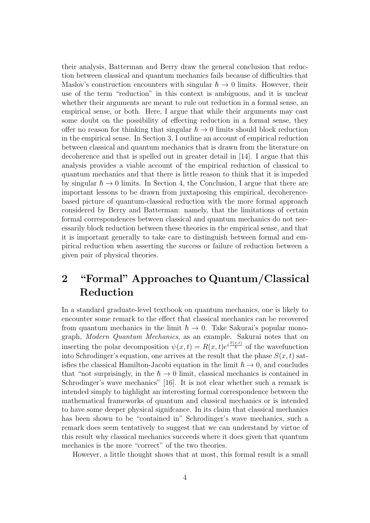their analysis, Batterman and Berry draw the general conclusion that reduction between classical and quantum mechanics fails because of difficulties that Maslov's construction encounters with singular  $\hbar \to 0$  limits. However, their use of the term "reduction" in this context is ambiguous, and it is unclear whether their arguments are meant to rule out reduction in a formal sense, an empirical sense, or both. Here, I argue that while their arguments may cast some doubt on the possibility of effecting reduction in a formal sense, they offer no reason for thinking that singular  $\hbar \to 0$  limits should block reduction in the empirical sense. In Section 3, I outline an account of empirical reduction between classical and quantum mechanics that is drawn from the literature on decoherence and that is spelled out in greater detail in [14]. I argue that this analysis provides a viable account of the empirical reduction of classical to quantum mechanics and that there is little reason to think that it is impeded by singular  $\hbar \to 0$  limits. In Section 4, the Conclusion, I argue that there are important lessons to be drawn from juxtaposing this empirical, decoherencebased picture of quantum-classical reduction with the more formal approach considered by Berry and Batterman: namely, that the limitations of certain formal correspondences between classical and quantum mechanics do not necessarily block reduction between these theories in the empirical sense, and that it is important generally to take care to distinguish between formal and empirical reduction when asserting the success or failure of reduction between a given pair of physical theories.

## 2 "Formal" Approaches to Quantum/Classical Reduction

In a standard graduate-level textbook on quantum mechanics, one is likely to encounter some remark to the effect that classical mechanics can be recovered from quantum mechanics in the limit  $\hbar \to 0$ . Take Sakurai's popular monograph, Modern Quantum Mechanics, as an example. Sakurai notes that on inserting the polar decomposition  $\psi(x,t) = R(x,t)e^{i\frac{S(x,t)}{\hbar}}$  of the wavefunction into Schrodinger's equation, one arrives at the result that the phase  $S(x, t)$  satisfies the classical Hamilton-Jacobi equation in the limit  $\hbar \to 0$ , and concludes that "not surprisingly, in the  $\hbar \to 0$  limit, classical mechanics is contained in Schrodinger's wave mechanics" [16]. It is not clear whether such a remark is intended simply to highlight an interesting formal correspondence between the mathematical frameworks of quantum and classical mechanics or is intended to have some deeper physical signifcance. In its claim that classical mechanics has been shown to be "contained in" Schrodinger's wave mechanics, such a remark does seem tentatively to suggest that we can understand by virtue of this result why classical mechanics succeeds where it does given that quantum mechanics is the more "correct" of the two theories.

However, a little thought shows that at most, this formal result is a small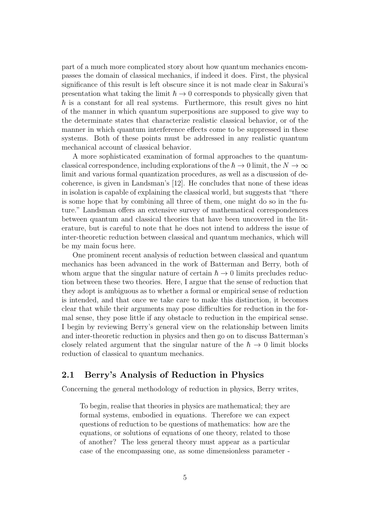part of a much more complicated story about how quantum mechanics encompasses the domain of classical mechanics, if indeed it does. First, the physical significance of this result is left obscure since it is not made clear in Sakurai's presentation what taking the limit  $\hbar \to 0$  corresponds to physically given that  $\hbar$  is a constant for all real systems. Furthermore, this result gives no hint of the manner in which quantum superpositions are supposed to give way to the determinate states that characterize realistic classical behavior, or of the manner in which quantum interference effects come to be suppressed in these systems. Both of these points must be addressed in any realistic quantum mechanical account of classical behavior.

A more sophisticated examination of formal approaches to the quantumclassical correspondence, including explorations of the  $\hbar \to 0$  limit, the  $N \to \infty$ limit and various formal quantization procedures, as well as a discussion of decoherence, is given in Landsman's [12]. He concludes that none of these ideas in isolation is capable of explaining the classical world, but suggests that "there is some hope that by combining all three of them, one might do so in the future." Landsman offers an extensive survey of mathematical correspondences between quantum and classical theories that have been uncovered in the literature, but is careful to note that he does not intend to address the issue of inter-theoretic reduction between classical and quantum mechanics, which will be my main focus here.

One prominent recent analysis of reduction between classical and quantum mechanics has been advanced in the work of Batterman and Berry, both of whom argue that the singular nature of certain  $\hbar \rightarrow 0$  limits precludes reduction between these two theories. Here, I argue that the sense of reduction that they adopt is ambiguous as to whether a formal or empirical sense of reduction is intended, and that once we take care to make this distinction, it becomes clear that while their arguments may pose difficulties for reduction in the formal sense, they pose little if any obstacle to reduction in the empirical sense. I begin by reviewing Berry's general view on the relationship between limits and inter-theoretic reduction in physics and then go on to discuss Batterman's closely related argument that the singular nature of the  $\hbar \rightarrow 0$  limit blocks reduction of classical to quantum mechanics.

#### 2.1 Berry's Analysis of Reduction in Physics

Concerning the general methodology of reduction in physics, Berry writes,

To begin, realise that theories in physics are mathematical; they are formal systems, embodied in equations. Therefore we can expect questions of reduction to be questions of mathematics: how are the equations, or solutions of equations of one theory, related to those of another? The less general theory must appear as a particular case of the encompassing one, as some dimensionless parameter -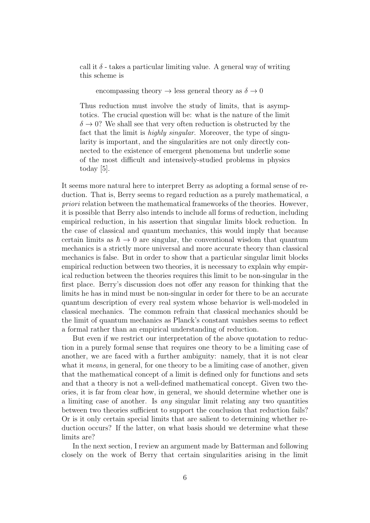call it  $\delta$  - takes a particular limiting value. A general way of writing this scheme is

encompassing theory  $\rightarrow$  less general theory as  $\delta \rightarrow 0$ 

Thus reduction must involve the study of limits, that is asymptotics. The crucial question will be: what is the nature of the limit  $\delta \rightarrow 0$ ? We shall see that very often reduction is obstructed by the fact that the limit is *highly singular*. Moreover, the type of singularity is important, and the singularities are not only directly connected to the existence of emergent phenomena but underlie some of the most difficult and intensively-studied problems in physics today [5].

It seems more natural here to interpret Berry as adopting a formal sense of reduction. That is, Berry seems to regard reduction as a purely mathematical, a priori relation between the mathematical frameworks of the theories. However, it is possible that Berry also intends to include all forms of reduction, including empirical reduction, in his assertion that singular limits block reduction. In the case of classical and quantum mechanics, this would imply that because certain limits as  $\hbar \to 0$  are singular, the conventional wisdom that quantum mechanics is a strictly more universal and more accurate theory than classical mechanics is false. But in order to show that a particular singular limit blocks empirical reduction between two theories, it is necessary to explain why empirical reduction between the theories requires this limit to be non-singular in the first place. Berry's discussion does not offer any reason for thinking that the limits he has in mind must be non-singular in order for there to be an accurate quantum description of every real system whose behavior is well-modeled in classical mechanics. The common refrain that classical mechanics should be the limit of quantum mechanics as Planck's constant vanishes seems to reflect a formal rather than an empirical understanding of reduction.

But even if we restrict our interpretation of the above quotation to reduction in a purely formal sense that requires one theory to be a limiting case of another, we are faced with a further ambiguity: namely, that it is not clear what it *means*, in general, for one theory to be a limiting case of another, given that the mathematical concept of a limit is defined only for functions and sets and that a theory is not a well-defined mathematical concept. Given two theories, it is far from clear how, in general, we should determine whether one is a limiting case of another. Is any singular limit relating any two quantities between two theories sufficient to support the conclusion that reduction fails? Or is it only certain special limits that are salient to determining whether reduction occurs? If the latter, on what basis should we determine what these limits are?

In the next section, I review an argument made by Batterman and following closely on the work of Berry that certain singularities arising in the limit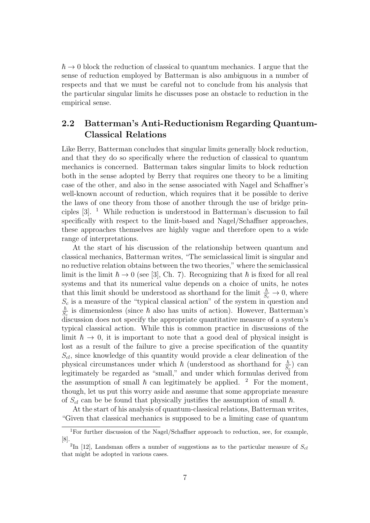$\hbar \rightarrow 0$  block the reduction of classical to quantum mechanics. I argue that the sense of reduction employed by Batterman is also ambiguous in a number of respects and that we must be careful not to conclude from his analysis that the particular singular limits he discusses pose an obstacle to reduction in the empirical sense.

### 2.2 Batterman's Anti-Reductionism Regarding Quantum-Classical Relations

Like Berry, Batterman concludes that singular limits generally block reduction, and that they do so specifically where the reduction of classical to quantum mechanics is concerned. Batterman takes singular limits to block reduction both in the sense adopted by Berry that requires one theory to be a limiting case of the other, and also in the sense associated with Nagel and Schaffner's well-known account of reduction, which requires that it be possible to derive the laws of one theory from those of another through the use of bridge principles  $[3]$ . <sup>1</sup> While reduction is understood in Batterman's discussion to fail specifically with respect to the limit-based and Nagel/Schaffner approaches, these approaches themselves are highly vague and therefore open to a wide range of interpretations.

At the start of his discussion of the relationship between quantum and classical mechanics, Batterman writes, "The semiclassical limit is singular and no reductive relation obtains between the two theories," where the semiclassical limit is the limit  $\hbar \to 0$  (see [3], Ch. 7). Recognizing that  $\hbar$  is fixed for all real systems and that its numerical value depends on a choice of units, he notes that this limit should be understood as shorthand for the limit  $\frac{\hbar}{S_c} \to 0$ , where  $S_c$  is a measure of the "typical classical action" of the system in question and  $\hbar$  $\frac{\hbar}{S_c}$  is dimensionless (since  $\hbar$  also has units of action). However, Batterman's discussion does not specify the appropriate quantitative measure of a system's typical classical action. While this is common practice in discussions of the limit  $\hbar \to 0$ , it is important to note that a good deal of physical insight is lost as a result of the failure to give a precise specification of the quantity  $S_{cl}$ , since knowledge of this quantity would provide a clear delineation of the physical circumstances under which  $\hbar$  (understood as shorthand for  $\frac{\hbar}{S_c}$ ) can legitimately be regarded as "small," and under which formulas derived from the assumption of small  $\hbar$  can legitimately be applied. <sup>2</sup> For the moment, though, let us put this worry aside and assume that some appropriate measure of  $S_{cl}$  can be be found that physically justifies the assumption of small  $\hbar$ .

At the start of his analysis of quantum-classical relations, Batterman writes, "Given that classical mechanics is supposed to be a limiting case of quantum

 $1$ For further discussion of the Nagel/Schaffner approach to reduction, see, for example, [8].

<sup>&</sup>lt;sup>2</sup>In [12], Landsman offers a number of suggestions as to the particular measure of  $S_{cl}$ that might be adopted in various cases.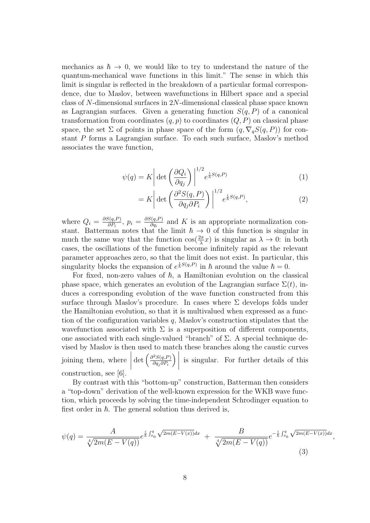mechanics as  $\hbar \to 0$ , we would like to try to understand the nature of the quantum-mechanical wave functions in this limit." The sense in which this limit is singular is reflected in the breakdown of a particular formal correspondence, due to Maslov, between wavefunctions in Hilbert space and a special class of N-dimensional surfaces in 2N-dimensional classical phase space known as Lagrangian surfaces. Given a generating function  $S(q, P)$  of a canonical transformation from coordinates  $(q, p)$  to coordinates  $(Q, P)$  on classical phase space, the set  $\Sigma$  of points in phase space of the form  $(q, \nabla_q S(q, P))$  for constant P forms a Lagrangian surface. To each such surface, Maslov's method associates the wave function,

$$
\psi(q) = K \left| \det \left( \frac{\partial Q_i}{\partial q_j} \right) \right|^{1/2} e^{\frac{i}{\hbar} S(q, P)} \tag{1}
$$

$$
= K \left| \det \left( \frac{\partial^2 S(q, P)}{\partial q_j \partial P_i} \right) \right|^{1/2} e^{\frac{i}{\hbar} S(q, P)}, \tag{2}
$$

where  $Q_i = \frac{\partial S(q, P)}{\partial P_i}$  $\frac{\partial S(q,P)}{\partial P_i},\; p_i=\frac{\partial S(q,P)}{\partial q_i}$  $\frac{\partial(q, P)}{\partial q_i}$  and K is an appropriate normalization constant. Batterman notes that the limit  $\hbar \to 0$  of this function is singular in much the same way that the function  $\cos(\frac{2\pi}{\lambda}x)$  is singular as  $\lambda \to 0$ : in both cases, the oscillations of the function become infinitely rapid as the relevant parameter approaches zero, so that the limit does not exist. In particular, this singularity blocks the expansion of  $e^{\frac{i}{\hbar}S(q,P)}$  in  $\hbar$  around the value  $\hbar = 0$ .

For fixed, non-zero values of  $\hbar$ , a Hamiltonian evolution on the classical phase space, which generates an evolution of the Lagrangian surface  $\Sigma(t)$ , induces a corresponding evolution of the wave function constructed from this surface through Maslov's procedure. In cases where  $\Sigma$  develops folds under the Hamiltonian evolution, so that it is multivalued when expressed as a function of the configuration variables q, Maslov's construction stipulates that the wavefunction associated with  $\Sigma$  is a superposition of different components, one associated with each single-valued "branch" of  $\Sigma$ . A special technique devised by Maslov is then used to match these branches along the caustic curves joining them, where  $\begin{array}{c} \begin{array}{c} \begin{array}{c} \end{array} \\ \begin{array}{c} \end{array} \end{array} \end{array}$ det  $\left(\frac{\partial^2 S(q,P)}{\partial q \cdot \partial P}\right)$  $\partial q_j \partial P_i$  $\Big)$ is singular. For further details of this construction, see [6].

By contrast with this "bottom-up" construction, Batterman then considers a "top-down" derivation of the well-known expression for the WKB wave function, which proceeds by solving the time-independent Schrodinger equation to first order in  $\hbar$ . The general solution thus derived is,

$$
\psi(q) = \frac{A}{\sqrt[4]{2m(E - V(q))}} e^{\frac{i}{\hbar} \int_{x_0}^q \sqrt{2m(E - V(x))} dx} + \frac{B}{\sqrt[4]{2m(E - V(q))}} e^{-\frac{i}{\hbar} \int_{x_0}^q \sqrt{2m(E - V(x))} dx}
$$
\n(3)

,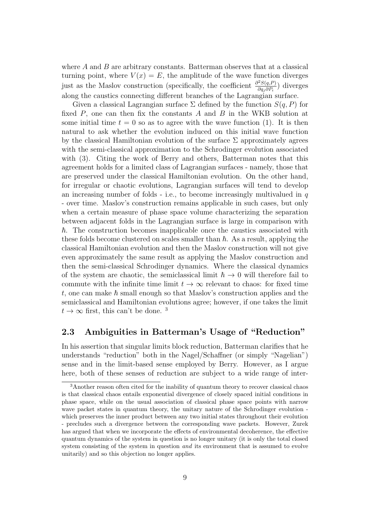where  $A$  and  $B$  are arbitrary constants. Batterman observes that at a classical turning point, where  $V(x) = E$ , the amplitude of the wave function diverges just as the Maslov construction (specifically, the coefficient  $\frac{\partial^2 S(q,P)}{\partial q \cdot \partial P}$  $\frac{\partial^2 S(q,P)}{\partial q_j \partial P_i}$  diverges along the caustics connecting different branches of the Lagrangian surface.

Given a classical Lagrangian surface  $\Sigma$  defined by the function  $S(q, P)$  for fixed  $P$ , one can then fix the constants  $A$  and  $B$  in the WKB solution at some initial time  $t = 0$  so as to agree with the wave function (1). It is then natural to ask whether the evolution induced on this initial wave function by the classical Hamiltonian evolution of the surface  $\Sigma$  approximately agrees with the semi-classical approximation to the Schrodinger evolution associated with (3). Citing the work of Berry and others, Batterman notes that this agreement holds for a limited class of Lagrangian surfaces - namely, those that are preserved under the classical Hamiltonian evolution. On the other hand, for irregular or chaotic evolutions, Lagrangian surfaces will tend to develop an increasing number of folds - i.e., to become increasingly multivalued in  $q$ - over time. Maslov's construction remains applicable in such cases, but only when a certain measure of phase space volume characterizing the separation between adjacent folds in the Lagrangian surface is large in comparison with  $\hbar$ . The construction becomes inapplicable once the caustics associated with these folds become clustered on scales smaller than  $\hbar$ . As a result, applying the classical Hamiltonian evolution and then the Maslov construction will not give even approximately the same result as applying the Maslov construction and then the semi-classical Schrodinger dynamics. Where the classical dynamics of the system are chaotic, the semiclassical limit  $\hbar \to 0$  will therefore fail to commute with the infinite time limit  $t \to \infty$  relevant to chaos: for fixed time t, one can make  $\hbar$  small enough so that Maslov's construction applies and the semiclassical and Hamiltonian evolutions agree; however, if one takes the limit  $t \to \infty$  first, this can't be done.<sup>3</sup>

#### 2.3 Ambiguities in Batterman's Usage of "Reduction"

In his assertion that singular limits block reduction, Batterman clarifies that he understands "reduction" both in the Nagel/Schaffner (or simply "Nagelian") sense and in the limit-based sense employed by Berry. However, as I argue here, both of these senses of reduction are subject to a wide range of inter-

<sup>3</sup>Another reason often cited for the inability of quantum theory to recover classical chaos is that classical chaos entails exponential divergence of closely spaced initial conditions in phase space, while on the usual association of classical phase space points with narrow wave packet states in quantum theory, the unitary nature of the Schrodinger evolution which preserves the inner product between any two initial states throughout their evolution - precludes such a divergence between the corresponding wave packets. However, Zurek has argued that when we incorporate the effects of environmental decoherence, the effective quantum dynamics of the system in question is no longer unitary (it is only the total closed system consisting of the system in question *and* its environment that is assumed to evolve unitarily) and so this objection no longer applies.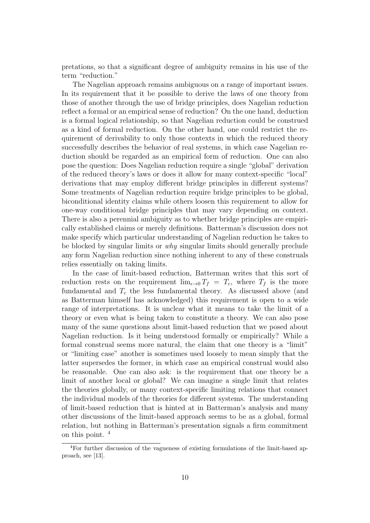pretations, so that a significant degree of ambiguity remains in his use of the term "reduction."

The Nagelian approach remains ambiguous on a range of important issues. In its requirement that it be possible to derive the laws of one theory from those of another through the use of bridge principles, does Nagelian reduction reflect a formal or an empirical sense of reduction? On the one hand, deduction is a formal logical relationship, so that Nagelian reduction could be construed as a kind of formal reduction. On the other hand, one could restrict the requirement of derivability to only those contexts in which the reduced theory successfully describes the behavior of real systems, in which case Nagelian reduction should be regarded as an empirical form of reduction. One can also pose the question: Does Nagelian reduction require a single "global" derivation of the reduced theory's laws or does it allow for many context-specific "local" derivations that may employ different bridge principles in different systems? Some treatments of Nagelian reduction require bridge principles to be global, biconditional identity claims while others loosen this requirement to allow for one-way conditional bridge principles that may vary depending on context. There is also a perennial ambiguity as to whether bridge principles are empirically established claims or merely definitions. Batterman's discussion does not make specify which particular understanding of Nagelian reduction he takes to be blocked by singular limits or why singular limits should generally preclude any form Nagelian reduction since nothing inherent to any of these construals relies essentially on taking limits.

In the case of limit-based reduction, Batterman writes that this sort of reduction rests on the requirement  $\lim_{\epsilon \to 0} T_f = T_c$ , where  $T_f$  is the more fundamental and  $T_c$  the less fundamental theory. As discussed above (and as Batterman himself has acknowledged) this requirement is open to a wide range of interpretations. It is unclear what it means to take the limit of a theory or even what is being taken to constitute a theory. We can also pose many of the same questions about limit-based reduction that we posed about Nagelian reduction. Is it being understood formally or empirically? While a formal construal seems more natural, the claim that one theory is a "limit" or "limiting case" another is sometimes used loosely to mean simply that the latter supersedes the former, in which case an empirical construal would also be reasonable. One can also ask: is the requirement that one theory be a limit of another local or global? We can imagine a single limit that relates the theories globally, or many context-specific limiting relations that connect the individual models of the theories for different systems. The understanding of limit-based reduction that is hinted at in Batterman's analysis and many other discussions of the limit-based approach seems to be as a global, formal relation, but nothing in Batterman's presentation signals a firm commitment on this point. <sup>4</sup>

<sup>4</sup>For further discussion of the vagueness of existing formulations of the limit-based approach, see [13].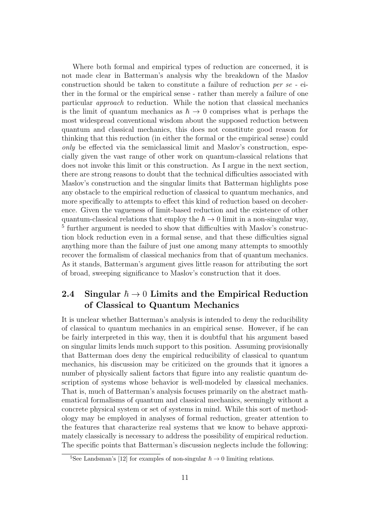Where both formal and empirical types of reduction are concerned, it is not made clear in Batterman's analysis why the breakdown of the Maslov construction should be taken to constitute a failure of reduction per se - either in the formal or the empirical sense - rather than merely a failure of one particular approach to reduction. While the notion that classical mechanics is the limit of quantum mechanics as  $\hbar \to 0$  comprises what is perhaps the most widespread conventional wisdom about the supposed reduction between quantum and classical mechanics, this does not constitute good reason for thinking that this reduction (in either the formal or the empirical sense) could only be effected via the semiclassical limit and Maslov's construction, especially given the vast range of other work on quantum-classical relations that does not invoke this limit or this construction. As I argue in the next section, there are strong reasons to doubt that the technical difficulties associated with Maslov's construction and the singular limits that Batterman highlights pose any obstacle to the empirical reduction of classical to quantum mechanics, and more specifically to attempts to effect this kind of reduction based on decoherence. Given the vagueness of limit-based reduction and the existence of other quantum-classical relations that employ the  $\hbar \rightarrow 0$  limit in a non-singular way, <sup>5</sup> further argument is needed to show that difficulties with Maslov's construction block reduction even in a formal sense, and that these difficulties signal anything more than the failure of just one among many attempts to smoothly recover the formalism of classical mechanics from that of quantum mechanics. As it stands, Batterman's argument gives little reason for attributing the sort of broad, sweeping significance to Maslov's construction that it does.

## 2.4 Singular  $\hbar \rightarrow 0$  Limits and the Empirical Reduction of Classical to Quantum Mechanics

It is unclear whether Batterman's analysis is intended to deny the reducibility of classical to quantum mechanics in an empirical sense. However, if he can be fairly interpreted in this way, then it is doubtful that his argument based on singular limits lends much support to this position. Assuming provisionally that Batterman does deny the empirical reducibility of classical to quantum mechanics, his discussion may be criticized on the grounds that it ignores a number of physically salient factors that figure into any realistic quantum description of systems whose behavior is well-modeled by classical mechanics. That is, much of Batterman's analysis focuses primarily on the abstract mathematical formalisms of quantum and classical mechanics, seemingly without a concrete physical system or set of systems in mind. While this sort of methodology may be employed in analyses of formal reduction, greater attention to the features that characterize real systems that we know to behave approximately classically is necessary to address the possibility of empirical reduction. The specific points that Batterman's discussion neglects include the following:

<sup>&</sup>lt;sup>5</sup>See Landsman's [12] for examples of non-singular  $\hbar \rightarrow 0$  limiting relations.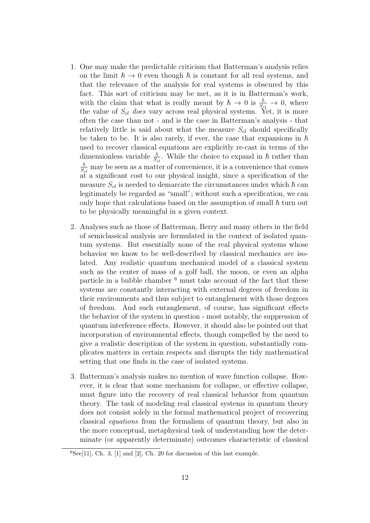- 1. One may make the predictable criticism that Batterman's analysis relies on the limit  $\hbar \to 0$  even though  $\hbar$  is constant for all real systems, and that the relevance of the analysis for real systems is obscured by this fact. This sort of criticism may be met, as it is in Batterman's work, with the claim that what is really meant by  $\hbar \to 0$  is  $\frac{\hbar}{S_{cl}} \to 0$ , where the value of  $S_{cl}$  does vary across real physical systems. Yet, it is more often the case than not - and is the case in Batterman's analysis - that relatively little is said about what the measure  $S_{cl}$  should specifically be taken to be. It is also rarely, if ever, the case that expansions in  $\hbar$ used to recover classical equations are explicitly re-cast in terms of the dimensionless variable  $\frac{\hbar}{S_{cl}}$ . While the choice to expand in  $\hbar$  rather than  $\hbar$  $\frac{\hbar}{S_{cl}}$  may be seen as a matter of convenience, it is a convenience that comes at a significant cost to our physical insight, since a specification of the measure  $S_{cl}$  is needed to demarcate the circumstances under which  $\hbar$  can legitimately be regarded as "small"; without such a specification, we can only hope that calculations based on the assumption of small  $\hbar$  turn out to be physically meaningful in a given context.
- 2. Analyses such as those of Batterman, Berry and many others in the field of semiclassical analysis are formulated in the context of isolated quantum systems. But essentially none of the real physical systems whose behavior we know to be well-described by classical mechanics are isolated. Any realistic quantum mechanical model of a classical system such as the center of mass of a golf ball, the moon, or even an alpha particle in a bubble chamber  $<sup>6</sup>$  must take account of the fact that these</sup> systems are constantly interacting with external degrees of freedom in their environments and thus subject to entanglement with those degrees of freedom. And such entanglement, of course, has significant effects the behavior of the system in question - most notably, the suppression of quantum interference effects. However, it should also be pointed out that incorporation of environmental effects, though compelled by the need to give a realistic description of the system in question, substantially complicates matters in certain respects and disrupts the tidy mathematical setting that one finds in the case of isolated systems.
- 3. Batterman's analysis makes no mention of wave function collapse. However, it is clear that some mechanism for collapse, or effective collapse, must figure into the recovery of real classical behavior from quantum theory. The task of modeling real classical systems in quantum theory does not consist solely in the formal mathematical project of recovering classical equations from the formalism of quantum theory, but also in the more conceptual, metaphysical task of understanding how the determinate (or apparently determinate) outcomes characteristic of classical

 ${}^{6}$ See[11], Ch. 3, [1] and [2], Ch. 20 for discussion of this last example.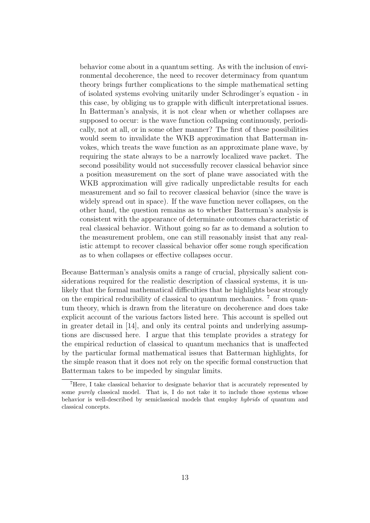behavior come about in a quantum setting. As with the inclusion of environmental decoherence, the need to recover determinacy from quantum theory brings further complications to the simple mathematical setting of isolated systems evolving unitarily under Schrodinger's equation - in this case, by obliging us to grapple with difficult interpretational issues. In Batterman's analysis, it is not clear when or whether collapses are supposed to occur: is the wave function collapsing continuously, periodically, not at all, or in some other manner? The first of these possibilities would seem to invalidate the WKB approximation that Batterman invokes, which treats the wave function as an approximate plane wave, by requiring the state always to be a narrowly localized wave packet. The second possibility would not successfully recover classical behavior since a position measurement on the sort of plane wave associated with the WKB approximation will give radically unpredictable results for each measurement and so fail to recover classical behavior (since the wave is widely spread out in space). If the wave function never collapses, on the other hand, the question remains as to whether Batterman's analysis is consistent with the appearance of determinate outcomes characteristic of real classical behavior. Without going so far as to demand a solution to the measurement problem, one can still reasonably insist that any realistic attempt to recover classical behavior offer some rough specification as to when collapses or effective collapses occur.

Because Batterman's analysis omits a range of crucial, physically salient considerations required for the realistic description of classical systems, it is unlikely that the formal mathematical difficulties that he highlights bear strongly on the empirical reducibility of classical to quantum mechanics.<sup>7</sup> from quantum theory, which is drawn from the literature on decoherence and does take explicit account of the various factors listed here. This account is spelled out in greater detail in [14], and only its central points and underlying assumptions are discussed here. I argue that this template provides a strategy for the empirical reduction of classical to quantum mechanics that is unaffected by the particular formal mathematical issues that Batterman highlights, for the simple reason that it does not rely on the specific formal construction that Batterman takes to be impeded by singular limits.

<sup>7</sup>Here, I take classical behavior to designate behavior that is accurately represented by some *purely* classical model. That is, I do not take it to include those systems whose behavior is well-described by semiclassical models that employ hybrids of quantum and classical concepts.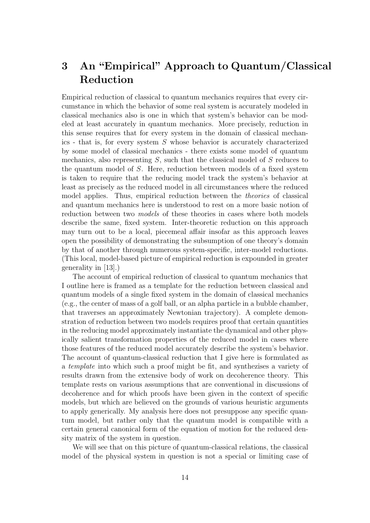## 3 An "Empirical" Approach to Quantum/Classical Reduction

Empirical reduction of classical to quantum mechanics requires that every circumstance in which the behavior of some real system is accurately modeled in classical mechanics also is one in which that system's behavior can be modeled at least accurately in quantum mechanics. More precisely, reduction in this sense requires that for every system in the domain of classical mechanics - that is, for every system S whose behavior is accurately characterized by some model of classical mechanics - there exists some model of quantum mechanics, also representing  $S$ , such that the classical model of  $S$  reduces to the quantum model of S. Here, reduction between models of a fixed system is taken to require that the reducing model track the system's behavior at least as precisely as the reduced model in all circumstances where the reduced model applies. Thus, empirical reduction between the theories of classical and quantum mechanics here is understood to rest on a more basic notion of reduction between two *models* of these theories in cases where both models describe the same, fixed system. Inter-theoretic reduction on this approach may turn out to be a local, piecemeal affair insofar as this approach leaves open the possibility of demonstrating the subsumption of one theory's domain by that of another through numerous system-specific, inter-model reductions. (This local, model-based picture of empirical reduction is expounded in greater generality in [13].)

The account of empirical reduction of classical to quantum mechanics that I outline here is framed as a template for the reduction between classical and quantum models of a single fixed system in the domain of classical mechanics (e.g., the center of mass of a golf ball, or an alpha particle in a bubble chamber, that traverses an approximately Newtonian trajectory). A complete demonstration of reduction between two models requires proof that certain quantities in the reducing model approximately instantiate the dynamical and other physically salient transformation properties of the reduced model in cases where those features of the reduced model accurately describe the system's behavior. The account of quantum-classical reduction that I give here is formulated as a template into which such a proof might be fit, and synthezises a variety of results drawn from the extensive body of work on decoherence theory. This template rests on various assumptions that are conventional in discussions of decoherence and for which proofs have been given in the context of specific models, but which are believed on the grounds of various heuristic arguments to apply generically. My analysis here does not presuppose any specific quantum model, but rather only that the quantum model is compatible with a certain general canonical form of the equation of motion for the reduced density matrix of the system in question.

We will see that on this picture of quantum-classical relations, the classical model of the physical system in question is not a special or limiting case of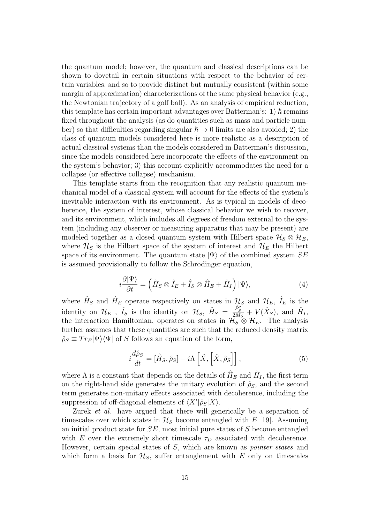the quantum model; however, the quantum and classical descriptions can be shown to dovetail in certain situations with respect to the behavior of certain variables, and so to provide distinct but mutually consistent (within some margin of approximation) characterizations of the same physical behavior (e.g., the Newtonian trajectory of a golf ball). As an analysis of empirical reduction, this template has certain important advantages over Batterman's: 1)  $\hbar$  remains fixed throughout the analysis (as do quantities such as mass and particle number) so that difficulties regarding singular  $\hbar \rightarrow 0$  limits are also avoided; 2) the class of quantum models considered here is more realistic as a description of actual classical systems than the models considered in Batterman's discussion, since the models considered here incorporate the effects of the environment on the system's behavior; 3) this account explicitly accommodates the need for a collapse (or effective collapse) mechanism.

This template starts from the recognition that any realistic quantum mechanical model of a classical system will account for the effects of the system's inevitable interaction with its environment. As is typical in models of decoherence, the system of interest, whose classical behavior we wish to recover, and its environment, which includes all degrees of freedom external to the system (including any observer or measuring apparatus that may be present) are modeled together as a closed quantum system with Hilbert space  $\mathcal{H}_S \otimes \mathcal{H}_E$ , where  $\mathcal{H}_S$  is the Hilbert space of the system of interest and  $\mathcal{H}_E$  the Hilbert space of its environment. The quantum state  $|\Psi\rangle$  of the combined system SE is assumed provisionally to follow the Schrodinger equation,

$$
i\frac{\partial|\Psi\rangle}{\partial t} = \left(\hat{H}_S \otimes \hat{I}_E + \hat{I}_S \otimes \hat{H}_E + \hat{H}_I\right)|\Psi\rangle, \tag{4}
$$

where  $\hat{H}_S$  and  $\hat{H}_E$  operate respectively on states in  $\mathcal{H}_S$  and  $\mathcal{H}_E$ ,  $\hat{I}_E$  is the identity on  $\mathcal{H}_E$ ,  $\hat{I}_S$  is the identity on  $\mathcal{H}_S$ ,  $\hat{H}_S = \frac{\hat{P}_S^2}{2M_S} + V(\hat{X}_S)$ , and  $\hat{H}_I$ , the interaction Hamiltonian, operates on states in  $\mathcal{H}_{S} \otimes \mathcal{H}_{E}$ . The analysis further assumes that these quantities are such that the reduced density matrix  $\rho_S \equiv Tr_E|\Psi\rangle\langle\Psi|$  of S follows an equation of the form,

$$
i\frac{d\hat{\rho}_S}{dt} = [\hat{H}_S, \hat{\rho}_S] - i\Lambda \left[ \hat{X}, \left[ \hat{X}, \hat{\rho}_S \right] \right],\tag{5}
$$

where  $\Lambda$  is a constant that depends on the details of  $\hat{H}_E$  and  $\hat{H}_I$ , the first term on the right-hand side generates the unitary evolution of  $\hat{\rho}_S$ , and the second term generates non-unitary effects associated with decoherence, including the suppression of off-diagonal elements of  $\langle X'|\hat{\rho}_S|X\rangle$ .

Zurek *et al.* have argued that there will generically be a separation of timescales over which states in  $\mathcal{H}_S$  become entangled with E [19]. Assuming an initial product state for SE, most initial pure states of S become entangled with E over the extremely short timescale  $\tau_D$  associated with decoherence. However, certain special states of S, which are known as pointer states and which form a basis for  $\mathcal{H}_S$ , suffer entanglement with E only on timescales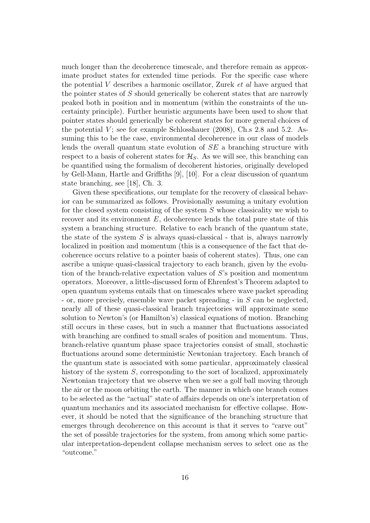much longer than the decoherence timescale, and therefore remain as approximate product states for extended time periods. For the specific case where the potential  $V$  describes a harmonic oscillator, Zurek *et al* have argued that the pointer states of S should generically be coherent states that are narrowly peaked both in position and in momentum (within the constraints of the uncertainty principle). Further heuristic arguments have been used to show that pointer states should generically be coherent states for more general choices of the potential  $V$ ; see for example Schlosshauer (2008), Ch.s 2.8 and 5.2. Assuming this to be the case, environmental decoherence in our class of models lends the overall quantum state evolution of SE a branching structure with respect to a basis of coherent states for  $\mathcal{H}_S$ . As we will see, this branching can be quantified using the formalism of decoherent histories, originally developed by Gell-Mann, Hartle and Griffiths [9], [10]. For a clear discussion of quantum state branching, see [18], Ch. 3.

Given these specifications, our template for the recovery of classical behavior can be summarized as follows. Provisionally assuming a unitary evolution for the closed system consisting of the system  $S$  whose classicality we wish to recover and its environment  $E$ , decoherence lends the total pure state of this system a branching structure. Relative to each branch of the quantum state, the state of the system  $S$  is always quasi-classical - that is, always narrowly localized in position and momentum (this is a consequence of the fact that decoherence occurs relative to a pointer basis of coherent states). Thus, one can ascribe a unique quasi-classical trajectory to each branch, given by the evolution of the branch-relative expectation values of S's position and momentum operators. Moreover, a little-discussed form of Ehrenfest's Theorem adapted to open quantum systems entails that on timescales where wave packet spreading - or, more precisely, ensemble wave packet spreading - in S can be neglected, nearly all of these quasi-classical branch trajectories will approximate some solution to Newton's (or Hamilton's) classical equations of motion. Branching still occurs in these cases, but in such a manner that fluctuations associated with branching are confined to small scales of position and momentum. Thus, branch-relative quantum phase space trajectories consist of small, stochastic fluctuations around some deterministic Newtonian trajectory. Each branch of the quantum state is associated with some particular, approximately classical history of the system S, corresponding to the sort of localized, approximately Newtonian trajectory that we observe when we see a golf ball moving through the air or the moon orbiting the earth. The manner in which one branch comes to be selected as the "actual" state of affairs depends on one's interpretation of quantum mechanics and its associated mechanism for effective collapse. However, it should be noted that the significance of the branching structure that emerges through decoherence on this account is that it serves to "carve out" the set of possible trajectories for the system, from among which some particular interpretation-dependent collapse mechanism serves to select one as the "outcome."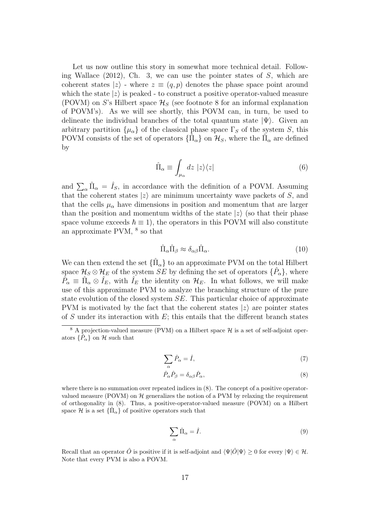Let us now outline this story in somewhat more technical detail. Following Wallace  $(2012)$ , Ch. 3, we can use the pointer states of S, which are coherent states  $|z\rangle$  - where  $z \equiv (q, p)$  denotes the phase space point around which the state  $|z\rangle$  is peaked - to construct a positive operator-valued measure (POVM) on S's Hilbert space  $\mathcal{H}_S$  (see footnote 8 for an informal explanation of POVM's). As we will see shortly, this POVM can, in turn, be used to delineate the individual branches of the total quantum state  $|\Psi\rangle$ . Given an arbitrary partition  $\{\mu_{\alpha}\}\$  of the classical phase space  $\Gamma_S$  of the system S, this POVM consists of the set of operators  $\{\hat{\Pi}_{\alpha}\}\$  on  $\mathcal{H}_S$ , where the  $\hat{\Pi}_{\alpha}$  are defined by

$$
\hat{\Pi}_{\alpha} \equiv \int_{\mu_{\alpha}} dz \, |z\rangle\langle z| \tag{6}
$$

and  $\sum_{\alpha} \hat{\Pi}_{\alpha} = \hat{I}_{S}$ , in accordance with the definition of a POVM. Assuming that the coherent states  $|z\rangle$  are minimum uncertainty wave packets of S, and that the cells  $\mu_{\alpha}$  have dimensions in position and momentum that are larger than the position and momentum widths of the state  $|z\rangle$  (so that their phase space volume exceeds  $\hbar \equiv 1$ , the operators in this POVM will also constitute an approximate  $PVM$ ,  $\delta$  so that

$$
\hat{\Pi}_{\alpha}\hat{\Pi}_{\beta} \approx \delta_{\alpha\beta}\hat{\Pi}_{\alpha}.\tag{10}
$$

We can then extend the set  $\{\hat{\Pi}_{\alpha}\}\)$  to an approximate PVM on the total Hilbert space  $\mathcal{H}_S \otimes \mathcal{H}_E$  of the system  $\overline{SE}$  by defining the set of operators  $\{\hat{P}_\alpha\}$ , where  $\tilde{P}_{\alpha} \equiv \hat{\Pi}_{\alpha} \otimes \hat{I}_{E}$ , with  $\tilde{I}_{E}$  the identity on  $\mathcal{H}_{E}$ . In what follows, we will make use of this approximate PVM to analyze the branching structure of the pure state evolution of the closed system SE. This particular choice of approximate PVM is motivated by the fact that the coherent states  $|z\rangle$  are pointer states of  $S$  under its interaction with  $E$ ; this entails that the different branch states

$$
\sum_{\alpha} \hat{P}_{\alpha} = \hat{I},\tag{7}
$$

$$
\hat{P}_{\alpha}\hat{P}_{\beta} = \delta_{\alpha\beta}\hat{P}_{\alpha},\tag{8}
$$

$$
\sum_{\alpha} \hat{\Pi}_{\alpha} = \hat{I}.\tag{9}
$$

Recall that an operator  $\hat{O}$  is positive if it is self-adjoint and  $\langle \Psi | \hat{O} | \Psi \rangle \ge 0$  for every  $| \Psi \rangle \in \mathcal{H}$ . Note that every PVM is also a POVM.

 $8 \text{ A projection-valued measure (PVM)}$  on a Hilbert space  $\mathcal H$  is a set of self-adjoint operators  $\{\tilde{P}_{\alpha}\}$  on H such that

where there is no summation over repeated indices in  $(8)$ . The concept of a positive operatorvalued measure (POVM) on  $H$  generalizes the notion of a PVM by relaxing the requirement of orthogonality in (8). Thus, a positive-operator-valued measure (POVM) on a Hilbert space  $\mathcal{H}$  is a set  $\{\hat{\Pi}_{\alpha}\}$  of positive operators such that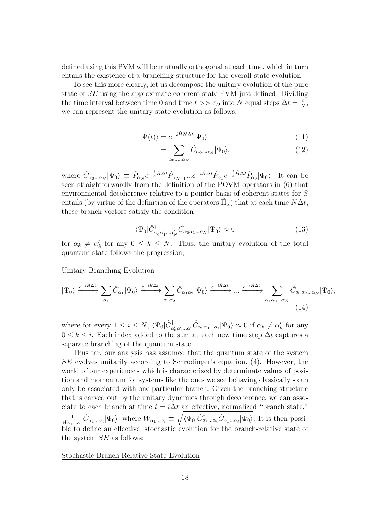defined using this PVM will be mutually orthogonal at each time, which in turn entails the existence of a branching structure for the overall state evolution.

To see this more clearly, let us decompose the unitary evolution of the pure state of SE using the approximate coherent state PVM just defined. Dividing the time interval between time 0 and time  $t \gg \tau_D$  into N equal steps  $\Delta t = \frac{t}{N}$  $\frac{t}{N}$ we can represent the unitary state evolution as follows:

$$
|\Psi(t)\rangle = e^{-i\hat{H}N\Delta t}|\Psi_0\rangle
$$
\n(11)

$$
=\sum_{\alpha_0,\dots,\alpha_N}\hat{C}_{\alpha_0\dots\alpha_N}|\Psi_0\rangle,\tag{12}
$$

where  $\hat{C}_{\alpha_0...\alpha_N}|\Psi_0\rangle \equiv \hat{P}_{\alpha_N}e^{-\frac{i}{\hbar}\hat{H}\Delta t}\hat{P}_{\alpha_{N-1}}...e^{-i\hat{H}\Delta t}\hat{P}_{\alpha_1}e^{-\frac{i}{\hbar}\hat{H}\Delta t}\hat{P}_{\alpha_0}|\Psi_0\rangle$ . It can be seen straightforwardly from the definition of the POVM operators in (6) that environmental decoherence relative to a pointer basis of coherent states for S entails (by virtue of the definition of the operators  $\hat{\Pi}_{\alpha}$ ) that at each time  $N\Delta t$ , these branch vectors satisfy the condition

$$
\langle \Psi_0 | \hat{C}^{\dagger}_{\alpha'_0 \alpha'_1 \dots \alpha'_N} \hat{C}_{\alpha_0 \alpha_1 \dots \alpha_N} | \Psi_0 \rangle \approx 0 \tag{13}
$$

for  $\alpha_k \neq \alpha'_k$  for any  $0 \leq k \leq N$ . Thus, the unitary evolution of the total quantum state follows the progression,

Unitary Branching Evolution

$$
|\Psi_0\rangle \xrightarrow{e^{-i\hat{H}\Delta t}} \sum_{\alpha_1} \hat{C}_{\alpha_1} |\Psi_0\rangle \xrightarrow{e^{-i\hat{H}\Delta t}} \sum_{\alpha_1 \alpha_2} \hat{C}_{\alpha_1 \alpha_2} |\Psi_0\rangle \xrightarrow{e^{-i\hat{H}\Delta t}} \dots \xrightarrow{e^{-i\hat{H}\Delta t}} \sum_{\alpha_1 \alpha_2 \dots \alpha_N} \hat{C}_{\alpha_1 \alpha_2 \dots \alpha_N} |\Psi_0\rangle,
$$
\n(14)

where for every  $1 \leq i \leq N$ ,  $\langle \Psi_0 | \hat{C}^{\dagger}_{\alpha'_0 \alpha'_1 \dots \alpha'_i} \hat{C}_{\alpha_0 \alpha_1 \dots \alpha_i} | \Psi_0 \rangle \approx 0$  if  $\alpha_k \neq \alpha'_k$  for any  $0 \leq k \leq i$ . Each index added to the sum at each new time step  $\Delta t$  captures a separate branching of the quantum state.

Thus far, our analysis has assumed that the quantum state of the system SE evolves unitarily according to Schrodinger's equation, (4). However, the world of our experience - which is characterized by determinate values of position and momentum for systems like the ones we see behaving classically - can only be associated with one particular branch. Given the branching structure that is carved out by the unitary dynamics through decoherence, we can associate to each branch at time  $t = i\Delta t$  an effective, normalized "branch state," 1  $\frac{1}{W_{\alpha_1...\alpha_i}}\hat{C}_{\alpha_1...\alpha_i}|\Psi_0\rangle$ , where  $W_{\alpha_1...\alpha_i} \equiv \sqrt{\langle\Psi_0|\hat{C}_{\alpha_1...\alpha_i}^{\dagger}\hat{C}_{\alpha_1...\alpha_i}|\Psi_0\rangle}$ . It is then possible to define an effective, stochastic evolution for the branch-relative state of the system  $SE$  as follows:

Stochastic Branch-Relative State Evolution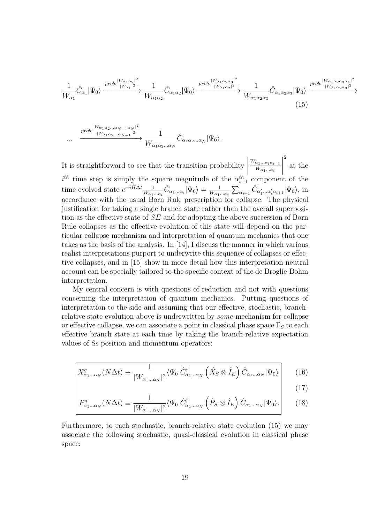$$
\frac{1}{W_{\alpha_1}}\hat{C}_{\alpha_1}|\Psi_0\rangle \xrightarrow{\text{prob.}\frac{|W_{\alpha_1\alpha_2}|^2}{|W_{\alpha_1}|^2}} \frac{1}{W_{\alpha_1\alpha_2}}\hat{C}_{\alpha_1\alpha_2}|\Psi_0\rangle \xrightarrow{\text{prob.}\frac{|W_{\alpha_1\alpha_2\alpha_3}|^2}{|W_{\alpha_1\alpha_2}|^2}} \frac{1}{W_{\alpha_1\alpha_2\alpha_3}}\hat{C}_{\alpha_1\alpha_2\alpha_3}|\Psi_0\rangle \xrightarrow{\text{prob.}\frac{|W_{\alpha_1\alpha_2\alpha_3\alpha_4}|^2}{|W_{\alpha_1\alpha_2\alpha_3}|^2}} \tag{15}
$$

$$
\cdots \quad \frac{\prod_{m_1,\ldots,m_{N-1}\alpha_N\mid n_1,\ldots,n_N\mid n_2,\ldots,n_N\mid n_2,\ldots,n_N}^{[W_{\alpha_1\alpha_2\ldots\alpha_{N-1}}|\alpha]}\hat{C}_{\alpha_1\alpha_2\ldots\alpha_N}|\Psi_0\rangle.
$$

It is straightforward to see that the transition probability  $\begin{array}{c} \hline \end{array}$  $\vert$   $\cdots \alpha_1 \cdots \alpha_i \vert$  $W_{\alpha_1...\alpha_i\alpha_{i+1}}$  $W_{\alpha_1...\alpha_i}$  $\begin{array}{c} \begin{array}{c} \begin{array}{c} \end{array} \\ \begin{array}{c} \end{array} \end{array} \end{array}$ 2 at the  $i^{th}$  time step is simply the square magnitude of the  $\alpha_{i+1}^{th}$  component of the time evolved state  $e^{-i\hat{H}\Delta t} \frac{1}{W}$  $\frac{1}{W_{\alpha_1...\alpha_i}}\hat{C}_{\alpha_1...\alpha_i}|\Psi_0\rangle=\frac{1}{W_{\alpha_1}}$  $\frac{1}{W_{\alpha_1...\alpha_i}}\sum_{\alpha_{i+1}}\hat{C}_{\alpha'_1...\alpha'_i\alpha_{i+1}}|\Psi_0\rangle$ , in accordance with the usual Born Rule prescription for collapse. The physical justification for taking a single branch state rather than the overall superposition as the effective state of SE and for adopting the above succession of Born Rule collapses as the effective evolution of this state will depend on the particular collapse mechanism and interpretation of quantum mechanics that one takes as the basis of the analysis. In [14], I discuss the manner in which various realist interpretations purport to underwrite this sequence of collapses or effective collapses, and in [15] show in more detail how this interpretation-neutral account can be specially tailored to the specific context of the de Broglie-Bohm interpretation.

My central concern is with questions of reduction and not with questions concerning the interpretation of quantum mechanics. Putting questions of interpretation to the side and assuming that our effective, stochastic, branchrelative state evolution above is underwritten by some mechanism for collapse or effective collapse, we can associate a point in classical phase space  $\Gamma_S$  to each effective branch state at each time by taking the branch-relative expectation values of Ss position and momentum operators:

$$
\left| X_{\alpha_1 \dots \alpha_N}^q(N\Delta t) \equiv \frac{1}{|W_{\alpha_1 \dots \alpha_N}|^2} \langle \Psi_0 | \hat{C}_{\alpha_1 \dots \alpha_N}^\dagger \left( \hat{X}_S \otimes \hat{I}_E \right) \hat{C}_{\alpha_1 \dots \alpha_N} | \Psi_0 \rangle \right| \tag{16}
$$

$$
\begin{vmatrix} P_{\alpha_1...\alpha_N}^q(N\Delta t) \equiv \frac{1}{|W_{\alpha_1...\alpha_N}|^2} \langle \Psi_0 | \hat{C}_{\alpha_1...\alpha_N}^{\dagger} \left( \hat{P}_S \otimes \hat{I}_E \right) \hat{C}_{\alpha_1...\alpha_N} | \Psi_0 \rangle. \end{vmatrix} \tag{18}
$$

Furthermore, to each stochastic, branch-relative state evolution (15) we may associate the following stochastic, quasi-classical evolution in classical phase space: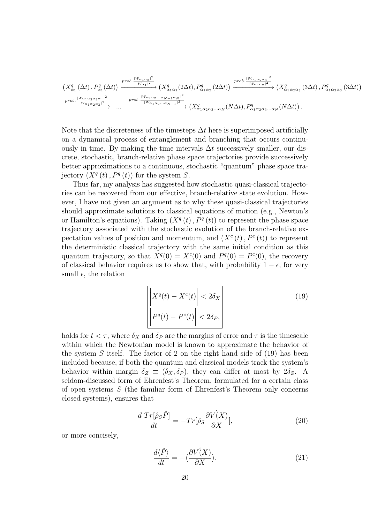$$
\begin{split}\n\left(X^{q}_{\alpha_{1}}\left(\Delta t\right),P^{q}_{\alpha_{1}}(\Delta t)\right) \xrightarrow{prob.\frac{|W_{\alpha_{1}\alpha_{2}}|^{2}}{|W_{\alpha_{1}}|^{2}}} \left(X^{q}_{\alpha_{1}\alpha_{2}}(2\Delta t),P^{q}_{\alpha_{1}\alpha_{2}}\left(2\Delta t\right)\right) \xrightarrow{prob.\frac{|W_{\alpha_{1}\alpha_{2}\alpha_{3}}|^{2}}{|W_{\alpha_{1}\alpha_{2}}|^{2}}} \left(X^{q}_{\alpha_{1}\alpha_{2}\alpha_{3}}\left(3\Delta t\right),P^{q}_{\alpha_{1}\alpha_{2}\alpha_{3}}\left(3\Delta t\right)\right) \\
\xrightarrow{prob.\frac{|W_{\alpha_{1}\alpha_{2}\alpha_{3}\alpha_{4}}|^{2}}{|W_{\alpha_{1}\alpha_{2}\alpha_{3}}|^{2}}} \dots \xrightarrow{prob.\frac{|W_{\alpha_{1}\alpha_{2}...\alpha_{N-1}\alpha_{N}}|^{2}}{|W_{\alpha_{1}\alpha_{2}...\alpha_{N-1}}|^{2}}} \left(X^{q}_{\alpha_{1}\alpha_{2}\alpha_{3}...\alpha_{N}}\left(N\Delta t\right),P^{q}_{\alpha_{1}\alpha_{2}\alpha_{3}...\alpha_{N}}\left(N\Delta t\right)\right).\n\end{split}
$$

Note that the discreteness of the timesteps  $\Delta t$  here is superimposed artificially on a dynamical process of entanglement and branching that occurs continuously in time. By making the time intervals  $\Delta t$  successively smaller, our discrete, stochastic, branch-relative phase space trajectories provide successively better approximations to a continuous, stochastic "quantum" phase space trajectory  $(X^q(t), P^q(t))$  for the system S.

Thus far, my analysis has suggested how stochastic quasi-classical trajectories can be recovered from our effective, branch-relative state evolution. However, I have not given an argument as to why these quasi-classical trajectories should approximate solutions to classical equations of motion (e.g., Newton's or Hamilton's equations). Taking  $(X^q(t), P^q(t))$  to represent the phase space trajectory associated with the stochastic evolution of the branch-relative expectation values of position and momentum, and  $(X^c(t), P^c(t))$  to represent the deterministic classical trajectory with the same initial condition as this quantum trajectory, so that  $X^q(0) = X^c(0)$  and  $P^q(0) = P^c(0)$ , the recovery of classical behavior requires us to show that, with probability  $1 - \epsilon$ , for very small  $\epsilon$ , the relation

$$
\left| \begin{aligned} \left| X^{q}(t) - X^{c}(t) \right| &< 2\delta_{X} \\ \left| P^{q}(t) - P^{c}(t) \right| &< 2\delta_{P}, \end{aligned} \right| \tag{19}
$$

holds for  $t < \tau$ , where  $\delta_X$  and  $\delta_P$  are the margins of error and  $\tau$  is the timescale within which the Newtonian model is known to approximate the behavior of the system  $S$  itself. The factor of 2 on the right hand side of  $(19)$  has been included because, if both the quantum and classical models track the system's behavior within margin  $\delta_Z \equiv (\delta_X, \delta_P)$ , they can differ at most by  $2\delta_Z$ . A seldom-discussed form of Ehrenfest's Theorem, formulated for a certain class of open systems S (the familiar form of Ehrenfest's Theorem only concerns closed systems), ensures that

$$
\frac{d\ Tr[\hat{\rho}_S \hat{P}]}{dt} = -Tr[\hat{\rho}_S \frac{\partial V(X)}{\partial X}],\tag{20}
$$

or more concisely,

$$
\frac{d\langle \hat{P} \rangle}{dt} = -\langle \frac{\partial V(X)}{\partial X} \rangle, \tag{21}
$$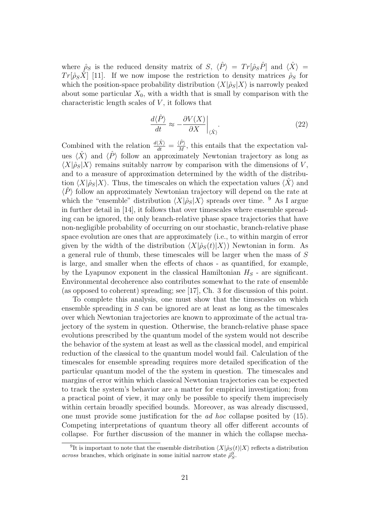where  $\hat{\rho}_S$  is the reduced density matrix of S,  $\langle \hat{P} \rangle = Tr[\hat{\rho}_S \hat{P}]$  and  $\langle \hat{X} \rangle =$  $Tr[\hat{\rho}_S X]$  [11]. If we now impose the restriction to density matrices  $\hat{\rho}_S$  for which the position-space probability distribution  $\langle X|\hat{\rho}_S|X\rangle$  is narrowly peaked about some particular  $X_0$ , with a width that is small by comparison with the characteristic length scales of  $V$ , it follows that

$$
\frac{d\langle \hat{P} \rangle}{dt} \approx -\frac{\partial V(X)}{\partial X} \bigg|_{\langle \hat{X} \rangle}.
$$
\n(22)

Combined with the relation  $\frac{d\langle \hat{X} \rangle}{dt} = \frac{\langle \hat{P} \rangle}{M}$  $\frac{\langle P \rangle}{M}$ , this entails that the expectation values  $\langle \hat{X} \rangle$  and  $\langle \hat{P} \rangle$  follow an approximately Newtonian trajectory as long as  $\langle X|\hat{\rho}_S|X\rangle$  remains suitably narrow by comparison with the dimensions of V, and to a measure of approximation determined by the width of the distribution  $\langle X|\hat{\rho}_S|X\rangle$ . Thus, the timescales on which the expectation values  $\langle X\rangle$  and  $\langle P \rangle$  follow an approximately Newtonian trajectory will depend on the rate at which the "ensemble" distribution  $\langle X|\hat{\rho}_S|X\rangle$  spreads over time. <sup>9</sup> As I argue in further detail in [14], it follows that over timescales where ensemble spreading can be ignored, the only branch-relative phase space trajectories that have non-negligible probability of occurring on our stochastic, branch-relative phase space evolution are ones that are approximately (i.e., to within margin of error given by the width of the distribution  $\langle X|\hat{\rho}_S(t)|X\rangle$  Newtonian in form. As a general rule of thumb, these timescales will be larger when the mass of S is large, and smaller when the effects of chaos - as quantified, for example, by the Lyapunov exponent in the classical Hamiltonian  $H<sub>S</sub>$  - are significant. Environmental decoherence also contributes somewhat to the rate of ensemble (as opposed to coherent) spreading; see [17], Ch. 3 for discussion of this point.

To complete this analysis, one must show that the timescales on which ensemble spreading in  $S$  can be ignored are at least as long as the timescales over which Newtonian trajectories are known to approximate of the actual trajectory of the system in question. Otherwise, the branch-relative phase space evolutions prescribed by the quantum model of the system would not describe the behavior of the system at least as well as the classical model, and empirical reduction of the classical to the quantum model would fail. Calculation of the timescales for ensemble spreading requires more detailed specification of the particular quantum model of the the system in question. The timescales and margins of error within which classical Newtonian trajectories can be expected to track the system's behavior are a matter for empirical investigation; from a practical point of view, it may only be possible to specify them imprecisely within certain broadly specified bounds. Moreover, as was already discussed, one must provide some justification for the ad hoc collapse posited by (15). Competing interpretations of quantum theory all offer different accounts of collapse. For further discussion of the manner in which the collapse mecha-

<sup>&</sup>lt;sup>9</sup>It is important to note that the ensemble distribution  $\langle X|\hat{\rho}_S(t)|X\rangle$  reflects a distribution across branches, which originate in some initial narrow state  $\hat{\rho}_S^0$ .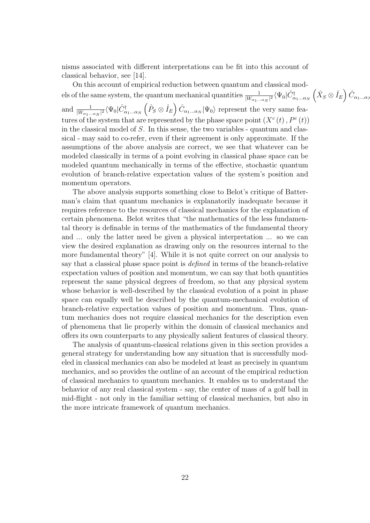nisms associated with different interpretations can be fit into this account of classical behavior, see [14].

On this account of empirical reduction between quantum and classical mod- $\text{else of the same system, the quantum mechanical quantities}\frac{1}{|W_{\alpha_1...\alpha_N}|^2}\langle\Psi_0|\hat{C}_{\alpha_1...\alpha_N}^{\dagger}\left(\hat{X}_{S}\otimes\hat{I}_{E}\right)\hat{C}_{\alpha_1...\alpha_N}$ and  $\frac{1}{|W_{\alpha_1...\alpha_N}|^2} \langle \Psi_0 | \hat{C}^{\dagger}_{\alpha_1...\alpha_N} \left( \hat{P}_S \otimes \hat{I}_E \right) \hat{C}_{\alpha_1...\alpha_N} | \Psi_0 \rangle$  represent the very same features of the system that are represented by the phase space point  $(X^c(t), P^c(t))$ in the classical model of S. In this sense, the two variables - quantum and classical - may said to co-refer, even if their agreement is only approximate. If the assumptions of the above analysis are correct, we see that whatever can be modeled classically in terms of a point evolving in classical phase space can be modeled quantum mechanically in terms of the effective, stochastic quantum evolution of branch-relative expectation values of the system's position and momentum operators.

The above analysis supports something close to Belot's critique of Batterman's claim that quantum mechanics is explanatorily inadequate because it requires reference to the resources of classical mechanics for the explanation of certain phenomena. Belot writes that "the mathematics of the less fundamental theory is definable in terms of the mathematics of the fundamental theory and ... only the latter need be given a physical interpretation ... so we can view the desired explanation as drawing only on the resources internal to the more fundamental theory" [4]. While it is not quite correct on our analysis to say that a classical phase space point is defined in terms of the branch-relative expectation values of position and momentum, we can say that both quantities represent the same physical degrees of freedom, so that any physical system whose behavior is well-described by the classical evolution of a point in phase space can equally well be described by the quantum-mechanical evolution of branch-relative expectation values of position and momentum. Thus, quantum mechanics does not require classical mechanics for the description even of phenomena that lie properly within the domain of classical mechanics and offers its own counterparts to any physically salient features of classical theory.

The analysis of quantum-classical relations given in this section provides a general strategy for understanding how any situation that is successfully modeled in classical mechanics can also be modeled at least as precisely in quantum mechanics, and so provides the outline of an account of the empirical reduction of classical mechanics to quantum mechanics. It enables us to understand the behavior of any real classical system - say, the center of mass of a golf ball in mid-flight - not only in the familiar setting of classical mechanics, but also in the more intricate framework of quantum mechanics.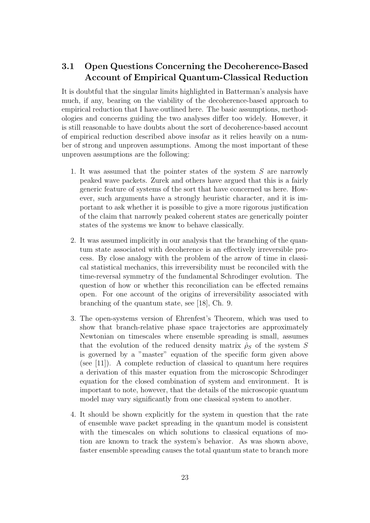## 3.1 Open Questions Concerning the Decoherence-Based Account of Empirical Quantum-Classical Reduction

It is doubtful that the singular limits highlighted in Batterman's analysis have much, if any, bearing on the viability of the decoherence-based approach to empirical reduction that I have outlined here. The basic assumptions, methodologies and concerns guiding the two analyses differ too widely. However, it is still reasonable to have doubts about the sort of decoherence-based account of empirical reduction described above insofar as it relies heavily on a number of strong and unproven assumptions. Among the most important of these unproven assumptions are the following:

- 1. It was assumed that the pointer states of the system S are narrowly peaked wave packets. Zurek and others have argued that this is a fairly generic feature of systems of the sort that have concerned us here. However, such arguments have a strongly heuristic character, and it is important to ask whether it is possible to give a more rigorous justification of the claim that narrowly peaked coherent states are generically pointer states of the systems we know to behave classically.
- 2. It was assumed implicitly in our analysis that the branching of the quantum state associated with decoherence is an effectively irreversible process. By close analogy with the problem of the arrow of time in classical statistical mechanics, this irreversibility must be reconciled with the time-reversal symmetry of the fundamental Schrodinger evolution. The question of how or whether this reconciliation can be effected remains open. For one account of the origins of irreversibility associated with branching of the quantum state, see [18], Ch. 9.
- 3. The open-systems version of Ehrenfest's Theorem, which was used to show that branch-relative phase space trajectories are approximately Newtonian on timescales where ensemble spreading is small, assumes that the evolution of the reduced density matrix  $\rho_S$  of the system S is governed by a "master" equation of the specific form given above (see [11]). A complete reduction of classical to quantum here requires a derivation of this master equation from the microscopic Schrodinger equation for the closed combination of system and environment. It is important to note, however, that the details of the microscopic quantum model may vary significantly from one classical system to another.
- 4. It should be shown explicitly for the system in question that the rate of ensemble wave packet spreading in the quantum model is consistent with the timescales on which solutions to classical equations of motion are known to track the system's behavior. As was shown above, faster ensemble spreading causes the total quantum state to branch more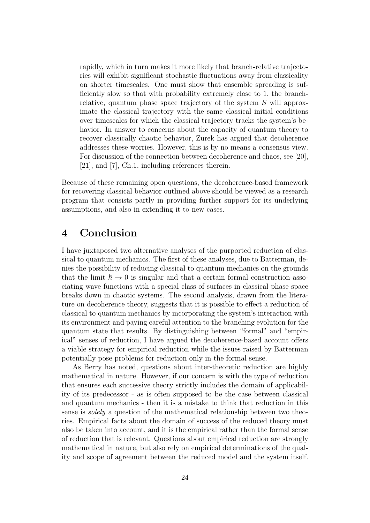rapidly, which in turn makes it more likely that branch-relative trajectories will exhibit significant stochastic fluctuations away from classicality on shorter timescales. One must show that ensemble spreading is sufficiently slow so that with probability extremely close to 1, the branchrelative, quantum phase space trajectory of the system S will approximate the classical trajectory with the same classical initial conditions over timescales for which the classical trajectory tracks the system's behavior. In answer to concerns about the capacity of quantum theory to recover classically chaotic behavior, Zurek has argued that decoherence addresses these worries. However, this is by no means a consensus view. For discussion of the connection between decoherence and chaos, see [20], [21], and [7], Ch.1, including references therein.

Because of these remaining open questions, the decoherence-based framework for recovering classical behavior outlined above should be viewed as a research program that consists partly in providing further support for its underlying assumptions, and also in extending it to new cases.

## 4 Conclusion

I have juxtaposed two alternative analyses of the purported reduction of classical to quantum mechanics. The first of these analyses, due to Batterman, denies the possibility of reducing classical to quantum mechanics on the grounds that the limit  $\hbar \to 0$  is singular and that a certain formal construction associating wave functions with a special class of surfaces in classical phase space breaks down in chaotic systems. The second analysis, drawn from the literature on decoherence theory, suggests that it is possible to effect a reduction of classical to quantum mechanics by incorporating the system's interaction with its environment and paying careful attention to the branching evolution for the quantum state that results. By distinguishing between "formal" and "empirical" senses of reduction, I have argued the decoherence-based account offers a viable strategy for empirical reduction while the issues raised by Batterman potentially pose problems for reduction only in the formal sense.

As Berry has noted, questions about inter-theoretic reduction are highly mathematical in nature. However, if our concern is with the type of reduction that ensures each successive theory strictly includes the domain of applicability of its predecessor - as is often supposed to be the case between classical and quantum mechanics - then it is a mistake to think that reduction in this sense is solely a question of the mathematical relationship between two theories. Empirical facts about the domain of success of the reduced theory must also be taken into account, and it is the empirical rather than the formal sense of reduction that is relevant. Questions about empirical reduction are strongly mathematical in nature, but also rely on empirical determinations of the quality and scope of agreement between the reduced model and the system itself.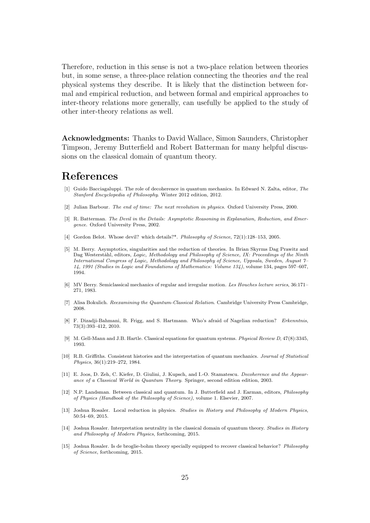Therefore, reduction in this sense is not a two-place relation between theories but, in some sense, a three-place relation connecting the theories and the real physical systems they describe. It is likely that the distinction between formal and empirical reduction, and between formal and empirical approaches to inter-theory relations more generally, can usefully be applied to the study of other inter-theory relations as well.

Acknowledgments: Thanks to David Wallace, Simon Saunders, Christopher Timpson, Jeremy Butterfield and Robert Batterman for many helpful discussions on the classical domain of quantum theory.

### References

- [1] Guido Bacciagaluppi. The role of decoherence in quantum mechanics. In Edward N. Zalta, editor, The Stanford Encyclopedia of Philosophy. Winter 2012 edition, 2012.
- [2] Julian Barbour. The end of time: The next revolution in physics. Oxford University Press, 2000.
- [3] R. Batterman. The Devil in the Details: Asymptotic Reasoning in Explanation, Reduction, and Emergence. Oxford University Press, 2002.
- [4] Gordon Belot. Whose devil? which details?\*. Philosophy of Science, 72(1):128–153, 2005.
- [5] M. Berry. Asymptotics, singularities and the reduction of theories. In Brian Skyrms Dag Prawitz and Dag Westerståhl, editors, Logic, Methodology and Philosophy of Science, IX: Proceedings of the Ninth International Congress of Logic, Methodology and Philosophy of Science, Uppsala, Sweden, August 7– 14, 1991 (Studies in Logic and Foundations of Mathematics: Volume 134), volume 134, pages 597–607, 1994.
- [6] MV Berry. Semiclassical mechanics of regular and irregular motion. Les Houches lecture series, 36:171– 271, 1983.
- [7] Alisa Bokulich. Reexamining the Quantum-Classical Relation. Cambridge University Press Cambridge, 2008.
- [8] F. Dizadji-Bahmani, R. Frigg, and S. Hartmann. Who's afraid of Nagelian reduction? Erkenntnis, 73(3):393–412, 2010.
- [9] M. Gell-Mann and J.B. Hartle. Classical equations for quantum systems. Physical Review D, 47(8):3345, 1993.
- [10] R.B. Griffiths. Consistent histories and the interpretation of quantum mechanics. Journal of Statistical Physics, 36(1):219–272, 1984.
- [11] E. Joos, D. Zeh, C. Kiefer, D. Giulini, J. Kupsch, and I.-O. Stamatescu. Decoherence and the Appearance of a Classical World in Quantum Theory. Springer, second edition edition, 2003.
- [12] N.P. Landsman. Between classical and quantum. In J. Butterfield and J. Earman, editors, *Philosophy* of Physics (Handbook of the Philosophy of Science), volume 1. Elsevier, 2007.
- [13] Joshua Rosaler. Local reduction in physics. Studies in History and Philosophy of Modern Physics, 50:54–69, 2015.
- [14] Joshua Rosaler. Interpretation neutrality in the classical domain of quantum theory. Studies in History and Philosophy of Modern Physics, forthcoming, 2015.
- [15] Joshua Rosaler. Is de broglie-bohm theory specially equipped to recover classical behavior? Philosophy of Science, forthcoming, 2015.